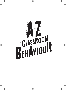# **CLASSROOM**

 $\bigodot$ 

⊕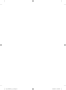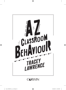

 $\bigodot$ 

# **CORWIN**

 $\bigoplus$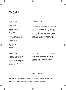

A SAGE company 2455 Teller Road Thousand Oaks, California 91320 (0800)233-9936 www.corwin.com

SAGE Publications Ltd 1 Oliver's Yard 55 City Road London EC1Y 1SP

⊕

SAGE Publications India Pvt Ltd B 1/I 1 Mohan Cooperative Industrial Area Mathura Road New Delhi 110 044

SAGE Publications Asia-Pacific Pte Ltd 3 Church Street #10-04 Samsung Hub Singapore 049483

© Tracey Lawrence, 2019

First published 2019

⊕

Apart from any fair dealing for the purposes of research or private study, or criticism or review, as permitted under the Copyright, Designs and Patents Act, 1988, this publication may be reproduced, stored or transmitted in any form, or by any means, only with the prior permission in writing of the publishers, or in the case of reprographic reproduction, in accordance with the terms of licences issued by the Copyright Licensing Agency. Enquiries concerning reproduction outside those terms should be sent to the publishers.

Editor: Jude Bowen Assistant editor: Catriona McMullen Production editor: Nicola Carrier Copyeditor: Diana Chambers Proofreader: Sharon Cawood Marketing manager: Dilhara Attygalle Cover design: Wendy Scott Typeset by: C&M Digitals (P) Ltd, Chennai, India Printed in the UK

**Library of Congress Control Number: 2018961569**

### **British Library Cataloguing in Publication data**

A catalogue record for this book is available from the British Library

ISBN 978-1-5264-6426-2 ISBN 978-1-5264-6427-9 (pbk)

At SAGE we take sustainability seriously. Most of our products are printed in the UK using responsibly sourced papers and boards. When we print overseas we ensure sustainable papers are used as measured by the PREPS grading system. We undertake an annual audit to monitor our sustainability.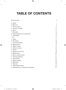# TABLE OF CONTENTS

 $\bigoplus$ 

| <b>About the Author</b>                       | vi  |
|-----------------------------------------------|-----|
| $A - ADHD$                                    | 1   |
| $B -$ <b>B</b> ehaviour                       | 9   |
| $C -$ <b>C</b> ommunication                   | 15  |
| D - Hierarchy of NeeDs                        | 21  |
| $E$ – ELSA                                    | 27  |
| $F -$ Friendship                              | 33  |
| G - Green (Rewards and Compensation)          | 39  |
| H-I Need Help!                                | 45  |
| $I - ITT$                                     | 51  |
| $J -$ <b>J</b> igsaw                          | 57  |
| $K -$ <b>K</b> nowledge                       | 63  |
| L - Low-level Disruption                      | 69  |
| M - Mood Hoovers                              | 75  |
| $N -$ ANimal Therapy                          | 81  |
| O - Outdoor Learning                          | 87  |
| $P -$ Parents                                 | 93  |
| Q - Quality First Teaching                    | 99  |
| $R -$ <b>Relationships</b>                    | 105 |
| S - Senior Leadership Team                    | 111 |
| $T - \mathsf{T}$ eaching Assistants           | 117 |
| $U$ – Unmet Needs                             | 123 |
| V - Verbal Language                           | 133 |
| $W -$ Well-being                              | 139 |
| $X$ – EXclusion                               | 145 |
| Y - Yellow (Mental Health)                    | 151 |
| Z - BuZz (Working in a Supportive Atmosphere) | 157 |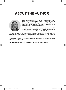# ABOUT THE AUTHOR

⊕



⊕

Tracey Lawrence is the Acting Head Teacher at Danemill Primary School where she has gained the reputation of being 'inspirational' from many of the parents. She is passionate about the children and families at the school, and she always puts the needs and happiness of the children at the heart of what she does.

Tracey leads the Behaviour module for the Inspiring Leaders SCITT programme, inspiring new teachers to put the sensitive and effective management of behaviour at the core of their teaching.

Out of school, she volunteers with a group for adults with special educational needs, providing opportunities for them to develop their organisational, social and creative skills, as well as fundraising to keep the group running.

Tracey's all-round skills show that she is a true advocate for the needs of young people, regardless of their background or needs.

*Kindly provided by Julie Hickinbottom, Deputy Head at Danemill Primary School*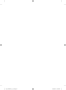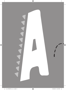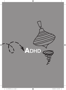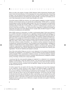When you talk to the majority of people, ADHD (Attention Deficit Hyperactivity Disorder) goes hand in hand with bad behaviour. It's the stereotype that many people spend lots of time trying to dispel. I can only assume that by buying this book, you have a mutual interest in finding out the reasons behind behaviour. By starting with exploring ADHD, I hope that it will enable you not only to feel empowered, but also to share these strengths with others.

The actual causes of ADHD are unknown, but current research suggests a complex interaction between environmental factors and genetic/risk predisposition. ADHD itself is a complex neurobiological condition that affects approximately 5 per cent of the population and significantly interferes with everyday life (Cooper, 2006). It is caused by an imbalance of some of the neurotransmitters in the brain. It is present from early on in childhood and is pervasive as it occurs in more than one setting – e.g., school and home. Diagnosis in childhood will usually be made after information from both settings and isn't usually made until after the age of 5. It often continues into adolescence and adulthood.

When ADHD comes up in discussion, it is often a controversial subject. Some even dismiss it as a condition that doesn't actually exist, but, regardless of people's thoughts and feelings, it is present in our schools, so we need to have practical ideas of supporting a child with ADHD as well as allowing them to reach their individual potential. The findings in research (Paloyelis et al., 2007) show that in people with ADHD there are differences within the development of the brain. The ability to control shifts from one activity to another, while the executive function and alertness differ from others. There is often a reduction in blood flow to the front of the brain. This area of the brain controls a variety of functions – e.g., emotions, memory, reactions to rewards and consequences, impulsivity and attention. Due to problems with neurotransmitters, messages are unable to complete their journey, causing children to present in a variety of ways – e.g., lacking in attention, argumentative, inappropriate behaviour, difficulty with schoolwork, difficulties with reading comprehension, poor memory, difficulties with retrieving information from memory, poor organisation. This list isn't definitive and research continues.

One of the most positive things you can do in your classroom is to be aware of the strengths that ADHD can exaggerate. In my experience, a child with ADHD can demonstrate the following positive strengths: charm, perseverance, resilience, tenacity, out-of-the box thinking, creativity, innovative thinking, a great sense of humour, musicality, being adventurous, intelligence, problem solving, risk taking, curiosity and a unique personality.

I would say that the most powerful strategy to implement in a classroom is to constantly support the difficulties a child with ADHD will face. This will be done by providing routines, repetition and boundaries. This will only be truly supportive of the child if all team members in your classroom are also consistent with this approach. Ideally, the whole school team will be able to provide this too.

To further support this, be explicit with the rules of the classroom and have them displayed in your classroom: words, pictures or both. Children with ADHD struggle to organise their time. You can support this depending on the setting. In primary, you can talk them through the structure of the day in the morning and reinforce this with a timetable. You can schedule points in the day for them to tidy up and organise themselves. At the end of the day, recap on the structure of the day so that they are clear. In secondary, you can buddy them up with somebody to talk through their timetable to ensure they are where they need to be during the school day. Check in with them in the morning to ensure that they have the right equipment. Deadlines will be a particular area of difficulty, so regular reminders and support in blocking out time will be vital.

2

⊕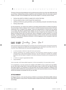⊕

The lack of structure that breaktimes and lunchtimes bring will be one of the main difficulties that you will face. Implementing routines, repetitions and boundaries will be the very basic support children will need. Some strategies that may provide support in a primary school include:

- having a key adult for children to speak to/to monitor their play;
- having a playtime diary to talk through their experiences;
- splitting lunchtimes by giving activities, such as attending computer club before free play;
- having a play buddy.

For the impulsivity, you need to be creative in providing opportunities for children throughout the school day to have a release. From my time in schools, physical exercise seems the most underused form of support and release. There are requirements in school such as sitting in our seats. We take for granted that children can do this, but for a child with ADHD, this can be harder than the learning. Allow children to have a break from the intensity of a long lesson by letting them give out resources, send a message to another teacher, run around the field – anything to satisfy that impulse and allow a child to remain calm for the remainder of the task. It can be the difference between a child struggling to even complete a task and creating a masterpiece.

**CASE SIUDY** - Gecondary - Jmran - Year 9

Imran arrived at the school following an exclusion from his previous school. During the exclusion he received a diagnosis for ADHD. He was reintegrated into mainstream secondary school. As a school, they implemented the following strategies straight away:

- a communication method to help link home and school:
- regularly identifying any problem behaviour and becoming solution-focused in pursuit of supporting it (see photocopiable resource). Use the resource to identify the problem behaviour and the steps to support it as well as looking at rewards and consequences for this;
- a mentor to support organisational skills:
- responsibilities.

♠

Imran was able, with these added supports, to thrive successfully in his secondary school.

In my experience, it can be common for children with ADHD to have a parent who has ADHD, so you may need to bear that in mind and think about ways in which you can help the family find wider support. It is important to note that there may be family members or siblings in the household without ADHD who would benefit from some work around emotions, but your individual school and situation will dictate how far you can help.

## ATTACHMENT

Dr Maggie Atkinson, who was the previous children's commissioner (@matkinson956), believes that 'every teacher in every school' should be aware of attachment theory and tailor their practice accordingly.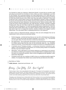It is important to make your classroom 'attachment-friendly' to ensure that you provide a safe and secure environment for all children to thrive. When you think of attachment, you think of John Bowlby, who conducted research into infant attachments in the 1940s (see www. simplypsychology.org/bowlby.html). Integrally, he found that although infants would go to anybody for food, they would only go to their mother when they were upset or frightened. If they could not get this, then it would create a trauma as they attempted to develop a range of strategies for survival. He found that the way the children view the world is based on the care they receive and this influences their later interactions. He termed this as the 'internal working model'. With a child who had an insecure attachment, they might feel bad, worthless, unwanted, incapable of being loved. They are more likely to feel that any caregivers are hurtful and untrustworthy, and that the world is dangerous. If a child has experienced insecure attachments in their life, where they have not been able to rely on an adult to respond to their needs, they may not have been able to learn how to manage their emotions, develop confidence and engage in positive relationships. This may present itself in challenging behaviours in the classroom.

In order to have an 'attachment-friendly' classroom, there are some strategies that can be implemented in both a primary and secondary setting:

- Positive language a similar technique that you can use with a child displaying challenging behaviour. Ensure that all staff use positive language in your school – e.g., 'I can see that you are upset, Maria. Put down the chair so that we can talk about it.'
- Key adult/mentor this is particularly appropriate at unstructured times to provide support for children during times that they may not feel emotionally ready for  $-$  e.g., friendship issues at lunchtimes. This provides options of support and advice for challenging situations.
- A familiarity around Theraplay principles a small group intervention conducted by specialists. It can be perceived as controversial, as it involves putting children into situations that they may have missed in early life.
- Safe space have a safe space in your primary classroom or a safe space in your secondary school for a child to go to where he or she can debrief after an unsettled period. Have the option for something to eat/drink. When a child is struggling and self-regulates, it often leaves them dehydrated.
- Constantly revisit with your members of staff to have an unconditional positive regard for children. It is imperative that children have a sense that they are liked and will be liked.
- Must follow on Twitter:

@AUK\_Schools – Attachment and Schools – UK

Primary \_ Case Study \_ Fred \_ Year 1 (aged 5)

Fred is a boy in Year 1 who was adopted at the age of 3. The reason for the adoption was due to neglect within his birth family. This had a variety of effects on Fred, some of which were unseen. His adoptive parents were seeing difficult behaviours displayed at home, with issues around control, and were seeking support from the school as well as the virtual head team.

Theraplay was introduced as an intervention for Fred in school, to try to provide those building blocks that may have been missed in early childhood. Theraplay was developed in the 1960s in America and is a form of focused therapy designed to enhance attachments between parents

4

⊕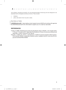⊕

and children; activities are playful, fun and developmentally enhancing and are designed to be practised with a therapist as well as at home. They include:

- lullabies;
- patty-cake (also known as pat-a-cake).

Must follow on Twitter:

@ADHDSolutionsUK – keep reading current research around ADHD and working with agencies **@ADHDSolutionsUK** – keep reading current research around on a case-by-case basis.<br>Kike @ADHDSolutionsUK who will be able to support you on a case-by-case basis.

# **REFERENCES**

⊕

- Cooper, P. (2006) 'Assessing the social and educational value of AD/HD', in M. Hunter-Carsh, Y. Tiknaz, P. Coooper and R. Sage (eds) *The Handbook of Social, Emotional and Behavioural Difficulties*. London: Continuum, pp. 248–63.
- Paloyelis, Y., Mehta, M., Kuntsi, J. and Asherson, P. (2007) Functional magnetic deficit hyperactivity disorder (ADHD): a systematic literature review. Available online at: www.ncbi.nlm.nih. gov/pmc/articles/PMC3763932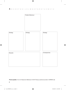

 $\bigoplus$ 



Photocopiable: *A to Z of Classroom Behaviour* © 2019 Tracey Lawrence (London: CORWIN Ltd)

6

 $\bigoplus$